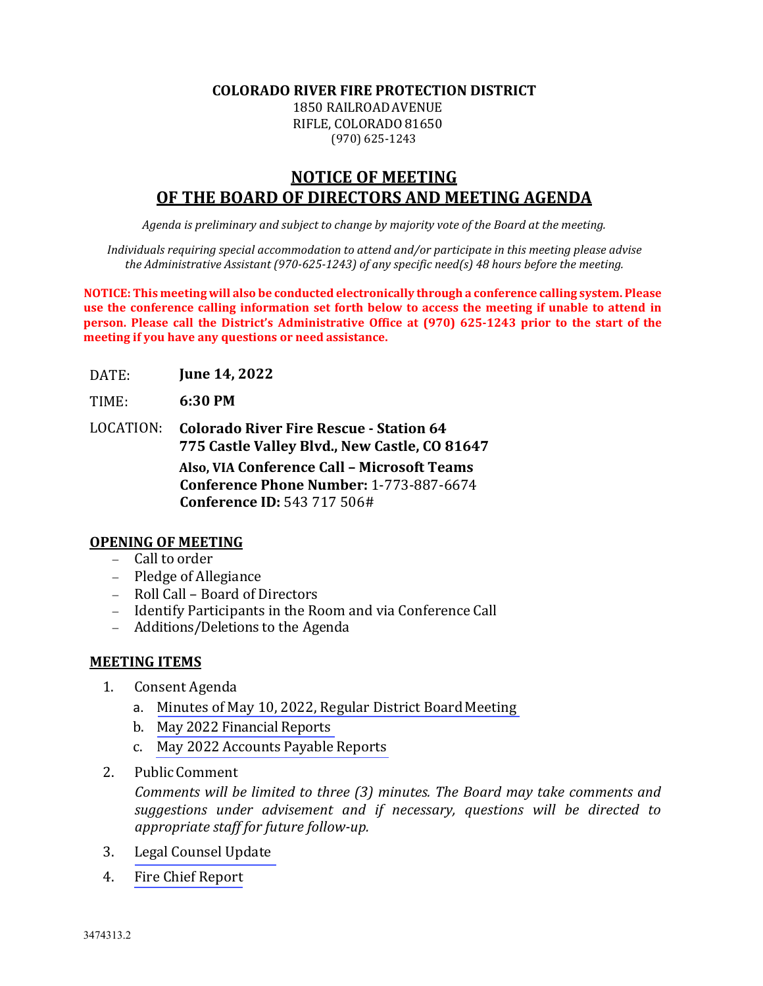### **COLORADO RIVER FIRE PROTECTION DISTRICT**

1850 RAILROADAVENUE RIFLE, COLORADO 81650 (970) 625-1243

# **NOTICE OF MEETING OF THE BOARD OF DIRECTORS AND MEETING AGENDA**

*Agenda is preliminary and subject to change by majority vote of the Board at the meeting.*

*Individuals requiring special accommodation to attend and/or participate in this meeting please advise the Administrative Assistant (970‐625‐1243) of any specific need(s) 48 hours before the meeting.*

**NOTICE: This meeting will also be conducted electronically through a conference calling system. Please use the conference calling information set forth below to access the meeting if unable to attend in person. Please call the District's Administrative Office at (970) 625‐1243 prior to the start of the meeting if you have any questions or need assistance.**

- DATE: **June 14, 2022**
- TIME: **6:30 PM**
- LOCATION: **Colorado River Fire Rescue ‐ Station 64 775 Castle Valley Blvd., New Castle, CO 81647**

**Also, VIA Conference Call – Microsoft Teams Conference Phone Number:** 1-773-887-6674 **Conference ID:** 543 717 506#

# **OPENING OF MEETING**

- − Call to order
- − Pledge of Allegiance
- − Roll Call Board of Directors
- − Identify Participants in the Room and via Conference Call
- − Additions/Deletions to the Agenda

### **MEETING ITEMS**

- 1. Consent Agenda
	- a. Minutes of May 10, 2022, Regular District Board Meeting
	- b. [May 2022 Financial Reports](#page--1-0)
	- c. [May 2022](#page--1-0) Accounts Payable Reports
- 2. PublicComment

*Comments will be limited to three (3) minutes. The Board may take comments and suggestions under advisement and if necessary, questions will be directed to appropriate staff for future follow‐up.*

- 3. [Legal Counsel](#page--1-0) Update
- 4. [Fire Chief](#page--1-0) Report